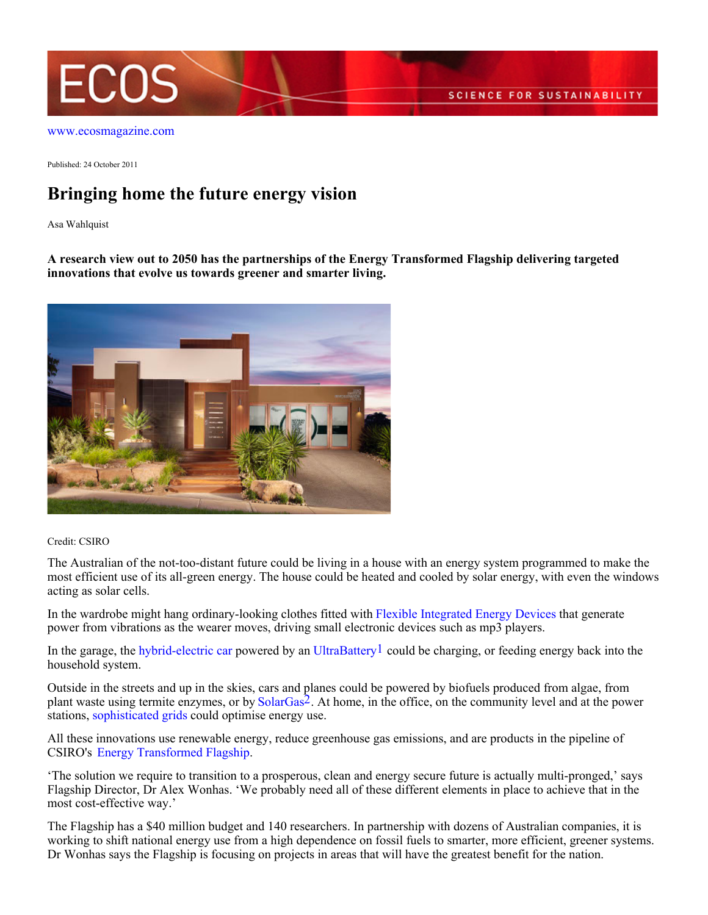

[www.ecosmagazine.com](http://www.ecosmagazine.com)

Published: 24 October 2011

## **Bringing home the future energy vision**

Asa Wahlquist

**A research view out to 2050 has the partnerships of the Energy Transformed Flagship delivering targeted innovations that evolve us towards greener and smarter living.**



## Credit: CSIRO

The Australian of the not-too-distant future could be living in a house with an energy system programmed to make the most efficient use of its all-green energy. The house could be heated and cooled by solar energy, with even the windows acting as solar cells.

In the wardrobe might hang ordinary-looking clothes fitted with [Flexible Integrated Energy Devices](http://www.csiro.au/science/flexible-integrated-energy-device.html>Flexible) that generate power from vibrations as the wearer moves, driving small electronic devices such as mp3 players.

In the garage, the [hybrid-electric car](http://www.csiro.au/resources/Plug-In-Hybrid-Electric-Vehicle.html) powered by an [UltraBattery](http://www.csiro.au/science/Ultra-Battery.html>UltraBattery)<sup>1</sup> could be charging, or feeding energy back into the household system.

Outside in the streets and up in the skies, cars and planes could be powered by biofuels produced from algae, from plant waste using termite enzymes, or by [SolarGas](http://www.csiro.au/science/SolarGas.html)2. At home, in the office, on the community level and at the power stations, [sophisticated grids](http://www.csiro.au/science/Intelligent-Grid.html>sophisticated) could optimise energy use.

All these innovations use renewable energy, reduce greenhouse gas emissions, and are products in the pipeline of CSIRO's [Energy Transformed Flagship](http://www.csiro.au/org/EnergyTransformedFlagship.html>Energy).

'The solution we require to transition to a prosperous, clean and energy secure future is actually multi-pronged,' says Flagship Director, Dr Alex Wonhas. 'We probably need all of these different elements in place to achieve that in the most cost-effective way.'

The Flagship has a \$40 million budget and 140 researchers. In partnership with dozens of Australian companies, it is working to shift national energy use from a high dependence on fossil fuels to smarter, more efficient, greener systems. Dr Wonhas says the Flagship is focusing on projects in areas that will have the greatest benefit for the nation.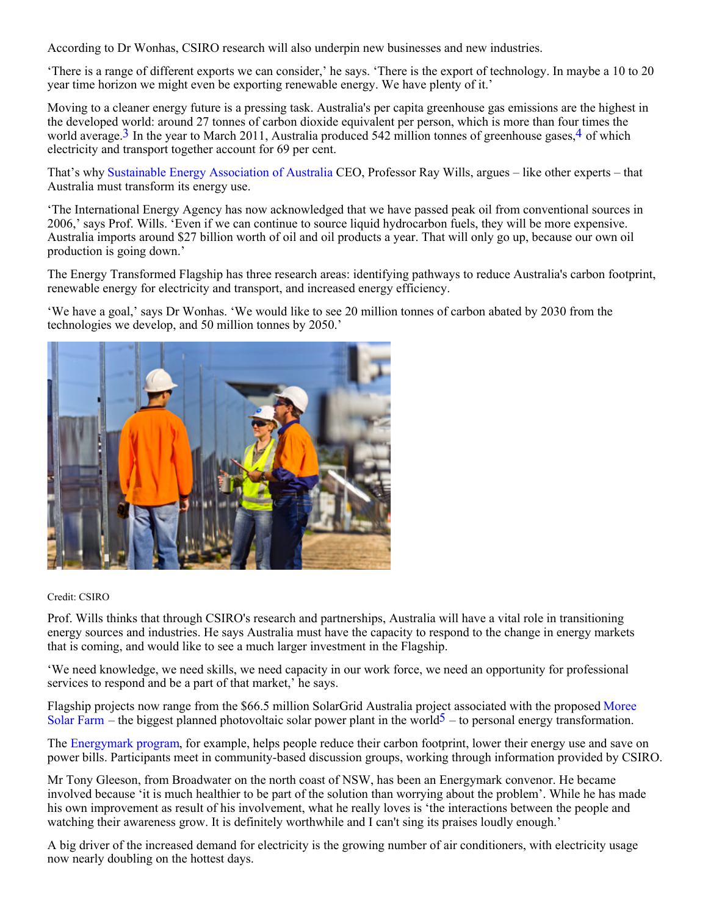According to Dr Wonhas, CSIRO research will also underpin new businesses and new industries.

'There is a range of different exports we can consider,' he says. 'There is the export of technology. In maybe a 10 to 20 year time horizon we might even be exporting renewable energy. We have plenty of it.'

Moving to a cleaner energy future is a pressing task. Australia's per capita greenhouse gas emissions are the highest in the developed world: around 27 tonnes of carbon dioxide equivalent per person, which is more than four times the world average.<sup>3</sup> In the year to March 2011, Australia produced 542 million tonnes of greenhouse gases.<sup>4</sup> of which electricity and transport together account for 69 per cent.

That's why [Sustainable Energy Association of Australia](http://www.seaaus.com.au/) CEO, Professor Ray Wills, argues – like other experts – that Australia must transform its energy use.

'The International Energy Agency has now acknowledged that we have passed peak oil from conventional sources in 2006,' says Prof. Wills. 'Even if we can continue to source liquid hydrocarbon fuels, they will be more expensive. Australia imports around \$27 billion worth of oil and oil products a year. That will only go up, because our own oil production is going down.'

The Energy Transformed Flagship has three research areas: identifying pathways to reduce Australia's carbon footprint, renewable energy for electricity and transport, and increased energy efficiency.

'We have a goal,' says Dr Wonhas. 'We would like to see 20 million tonnes of carbon abated by 2030 from the technologies we develop, and 50 million tonnes by 2050.'



## Credit: CSIRO

Prof. Wills thinks that through CSIRO's research and partnerships, Australia will have a vital role in transitioning energy sources and industries. He says Australia must have the capacity to respond to the change in energy markets that is coming, and would like to see a much larger investment in the Flagship.

'We need knowledge, we need skills, we need capacity in our work force, we need an opportunity for professional services to respond and be a part of that market,' he says.

Flagship projects now range from the \$66.5 million SolarGrid Australia project associated with the proposed [Moree](http://www.csiro.au/science/Moree-solar-farm.html>Moree) [Solar Farm](http://www.csiro.au/science/Moree-solar-farm.html>Moree) – the biggest planned photovoltaic solar power plant in the world<sup>5</sup> – to personal energy transformation.

The [Energymark program](http://www.csiro.au/science/Energymark.html), for example, helps people reduce their carbon footprint, lower their energy use and save on power bills. Participants meet in community-based discussion groups, working through information provided by CSIRO.

Mr Tony Gleeson, from Broadwater on the north coast of NSW, has been an Energymark convenor. He became involved because 'it is much healthier to be part of the solution than worrying about the problem'. While he has made his own improvement as result of his involvement, what he really loves is 'the interactions between the people and watching their awareness grow. It is definitely worthwhile and I can't sing its praises loudly enough.'

A big driver of the increased demand for electricity is the growing number of air conditioners, with electricity usage now nearly doubling on the hottest days.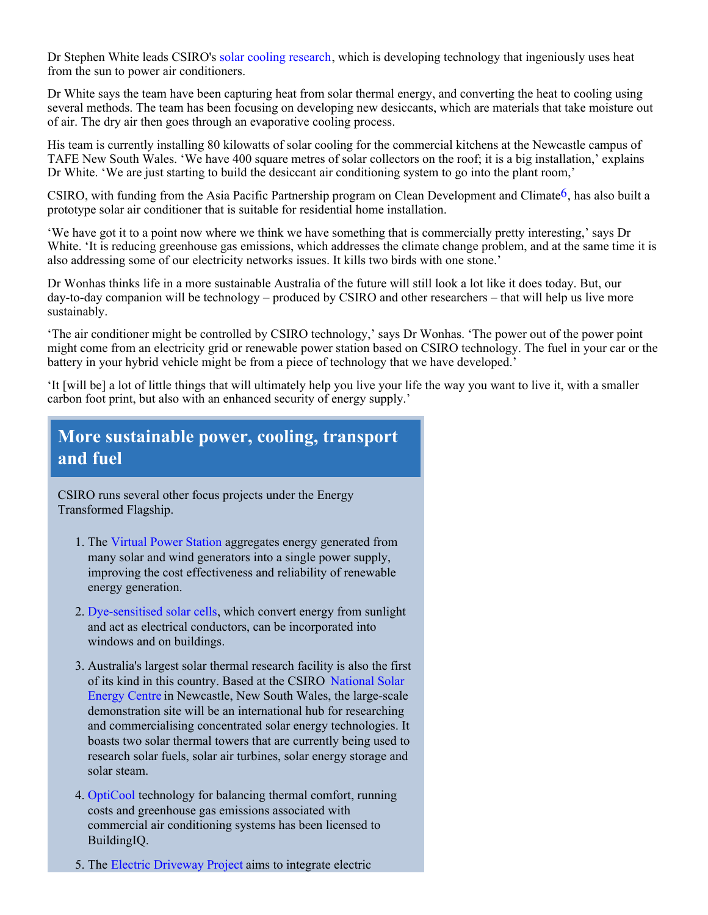Dr Stephen White leads CSIRO's [solar cooling research](http://www.csiro.au/science/solar-cooling.html>solar), which is developing technology that ingeniously uses heat from the sun to power air conditioners.

Dr White says the team have been capturing heat from solar thermal energy, and converting the heat to cooling using several methods. The team has been focusing on developing new desiccants, which are materials that take moisture out of air. The dry air then goes through an evaporative cooling process.

His team is currently installing 80 kilowatts of solar cooling for the commercial kitchens at the Newcastle campus of TAFE New South Wales. 'We have 400 square metres of solar collectors on the roof; it is a big installation,' explains Dr White. 'We are just starting to build the desiccant air conditioning system to go into the plant room,'

CSIRO, with funding from the Asia Pacific Partnership program on Clean Development and Climate<sup>6</sup>, has also built a prototype solar air conditioner that is suitable for residential home installation.

'We have got it to a point now where we think we have something that is commercially pretty interesting,' says Dr White. 'It is reducing greenhouse gas emissions, which addresses the climate change problem, and at the same time it is also addressing some of our electricity networks issues. It kills two birds with one stone.'

Dr Wonhas thinks life in a more sustainable Australia of the future will still look a lot like it does today. But, our day-to-day companion will be technology – produced by CSIRO and other researchers – that will help us live more sustainably.

'The air conditioner might be controlled by CSIRO technology,' says Dr Wonhas. 'The power out of the power point might come from an electricity grid or renewable power station based on CSIRO technology. The fuel in your car or the battery in your hybrid vehicle might be from a piece of technology that we have developed.'

'It [will be] a lot of little things that will ultimately help you live your life the way you want to live it, with a smaller carbon foot print, but also with an enhanced security of energy supply.'

## **More sustainable power, cooling, transport and fuel**

CSIRO runs several other focus projects under the Energy Transformed Flagship.

- 1. The [Virtual Power Station](http://www.csiro.au/science/Virtual-Power-Station.html>Virtual) aggregates energy generated from many solar and wind generators into a single power supply, improving the cost effectiveness and reliability of renewable energy generation.
- 2. [Dye-sensitised solar cells](http://www.csiro.au/science/dye-sensitised-solar-cells.html>Dye-sensitised), which convert energy from sunlight and act as electrical conductors, can be incorporated into windows and on buildings.
- Australia's largest solar thermal research facility is also the first 3. of its kind in this country. Based at the CSIRO [National Solar](http://www.csiro.au/science/Solar-Brayton-Cycle.html>National) [Energy Centre](http://www.csiro.au/science/Solar-Brayton-Cycle.html>National) in Newcastle, New South Wales, the large-scale demonstration site will be an international hub for researching and commercialising concentrated solar energy technologies. It boasts two solar thermal towers that are currently being used to research solar fuels, solar air turbines, solar energy storage and solar steam.
- 4. [OptiCool](http://pipeline.csiro.au/divisions/energy/buildingiq/) technology for balancing thermal comfort, running costs and greenhouse gas emissions associated with commercial air conditioning systems has been licensed to BuildingIQ.
- 5. The [Electric Driveway Project](http://www.csiro.au/science/Electric-driveway.html>Electric) aims to integrate electric